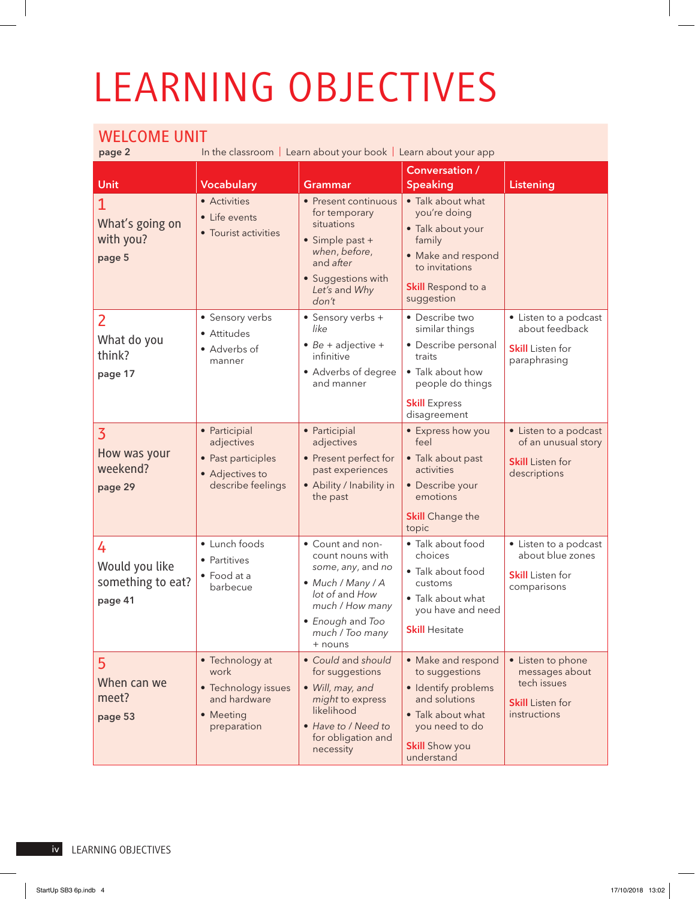## LEARNING OBJECTIVES

## WELCOME UNIT

In the classroom | Learn about your book | Learn about your app

|                                                       |                                                                                            |                                                                                                                                                                       | <b>Conversation /</b>                                                                                                                                      |                                                                                               |
|-------------------------------------------------------|--------------------------------------------------------------------------------------------|-----------------------------------------------------------------------------------------------------------------------------------------------------------------------|------------------------------------------------------------------------------------------------------------------------------------------------------------|-----------------------------------------------------------------------------------------------|
| Unit                                                  | <b>Vocabulary</b>                                                                          | <b>Grammar</b>                                                                                                                                                        | <b>Speaking</b>                                                                                                                                            | <b>Listening</b>                                                                              |
| What's going on<br>with you?<br>page 5                | • Activities<br>• Life events<br>• Tourist activities                                      | • Present continuous<br>for temporary<br>situations<br>$\bullet$ Simple past +<br>when, before,<br>and after<br>• Suggestions with<br>Let's and Why<br>don't          | • Talk about what<br>you're doing<br>· Talk about your<br>family<br>• Make and respond<br>to invitations<br>Skill Respond to a<br>suggestion               |                                                                                               |
| $\overline{2}$<br>What do you<br>think?<br>page 17    | • Sensory verbs<br>• Attitudes<br>• Adverbs of<br>manner                                   | • Sensory verbs +<br>like<br>$\bullet$ Be + adjective +<br>infinitive<br>• Adverbs of degree<br>and manner                                                            | • Describe two<br>similar things<br>· Describe personal<br>traits<br>• Talk about how<br>people do things<br><b>Skill</b> Express<br>disagreement          | • Listen to a podcast<br>about feedback<br><b>Skill</b> Listen for<br>paraphrasing            |
| $\overline{3}$<br>How was your<br>weekend?<br>page 29 | • Participial<br>adjectives<br>• Past participles<br>• Adjectives to<br>describe feelings  | • Participial<br>adjectives<br>• Present perfect for<br>past experiences<br>• Ability / Inability in<br>the past                                                      | • Express how you<br>feel<br>• Talk about past<br>activities<br>· Describe your<br>emotions<br><b>Skill</b> Change the<br>topic                            | • Listen to a podcast<br>of an unusual story<br><b>Skill</b> Listen for<br>descriptions       |
| 4<br>Would you like<br>something to eat?<br>page 41   | · Lunch foods<br>• Partitives<br>• Food at a<br>barbecue                                   | • Count and non-<br>count nouns with<br>some, any, and no<br>• Much / Many / A<br>lot of and How<br>much / How many<br>• Enough and Too<br>much / Too many<br>+ nouns | · Talk about food<br>choices<br>• Talk about food<br>customs<br>• Talk about what<br>you have and need<br><b>Skill Hesitate</b>                            | • Listen to a podcast<br>about blue zones<br><b>Skill</b> Listen for<br>comparisons           |
| 5 <sup>1</sup><br>When can we<br>meet?<br>page 53     | • Technology at<br>work<br>• Technology issues<br>and hardware<br>• Meeting<br>preparation | • Could and should<br>for suggestions<br>· Will, may, and<br>might to express<br>likelihood<br>• Have to / Need to<br>for obligation and<br>necessity                 | • Make and respond<br>to suggestions<br>· Identify problems<br>and solutions<br>• Talk about what<br>you need to do<br><b>Skill</b> Show you<br>understand | • Listen to phone<br>messages about<br>tech issues<br><b>Skill</b> Listen for<br>instructions |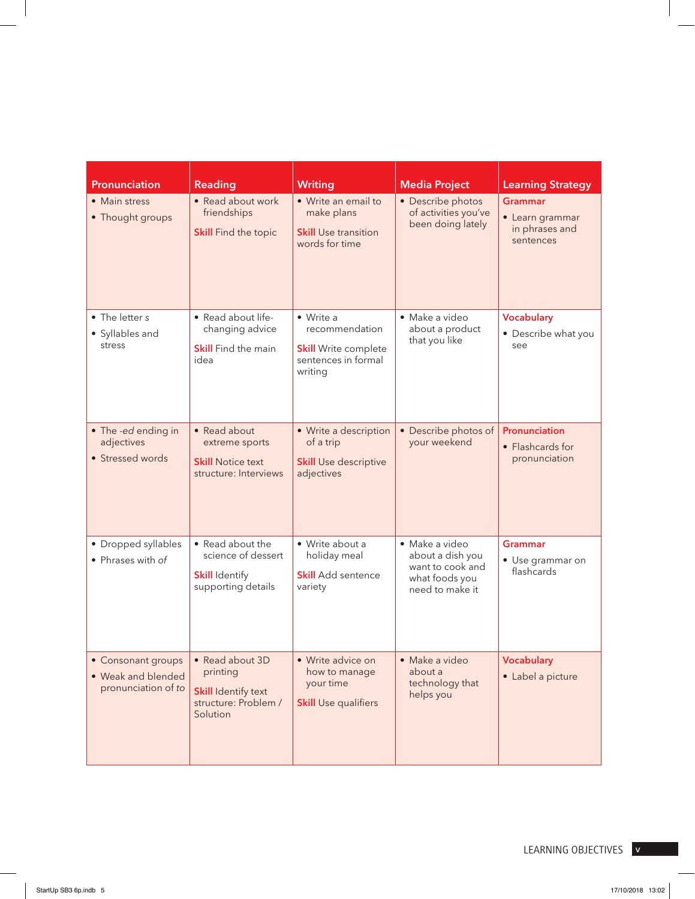| Pronunciation                                                   | Reading                                                                                       | <b>Writing</b>                                                                               | <b>Media Project</b>                                                                        | <b>Learning Strategy</b>                                         |
|-----------------------------------------------------------------|-----------------------------------------------------------------------------------------------|----------------------------------------------------------------------------------------------|---------------------------------------------------------------------------------------------|------------------------------------------------------------------|
| • Main stress<br>• Thought groups                               | • Read about work<br>friendships<br><b>Skill</b> Find the topic                               | • Write an email to<br>make plans<br><b>Skill</b> Use transition<br>words for time           | • Describe photos<br>of activities you've<br>been doing lately                              | <b>Grammar</b><br>• Learn grammar<br>in phrases and<br>sentences |
| • The letter s<br>• Syllables and<br>stress                     | • Read about life-<br>changing advice<br><b>Skill</b> Find the main<br>idea                   | • Write a<br>recommendation<br><b>Skill</b> Write complete<br>sentences in formal<br>writing | · Make a video<br>about a product<br>that you like                                          | <b>Vocabulary</b><br>• Describe what you<br>see                  |
| • The -ed ending in<br>adjectives<br>• Stressed words           | • Read about<br>extreme sports<br><b>Skill Notice text</b><br>structure: Interviews           | • Write a description<br>of a trip<br><b>Skill Use descriptive</b><br>adjectives             | • Describe photos of<br>your weekend                                                        | Pronunciation<br>• Flashcards for<br>pronunciation               |
| • Dropped syllables<br>• Phrases with of                        | • Read about the<br>science of dessert<br><b>Skill Identify</b><br>supporting details         | • Write about a<br>holiday meal<br><b>Skill</b> Add sentence<br>variety                      | · Make a video<br>about a dish you<br>want to cook and<br>what foods you<br>need to make it | <b>Grammar</b><br>• Use grammar on<br>flashcards                 |
| • Consonant groups<br>• Weak and blended<br>pronunciation of to | • Read about 3D<br>printing<br><b>Skill Identify text</b><br>structure: Problem /<br>Solution | • Write advice on<br>how to manage<br>your time<br><b>Skill Use qualifiers</b>               | • Make a video<br>about a<br>technology that<br>helps you                                   | <b>Vocabulary</b><br>• Label a picture                           |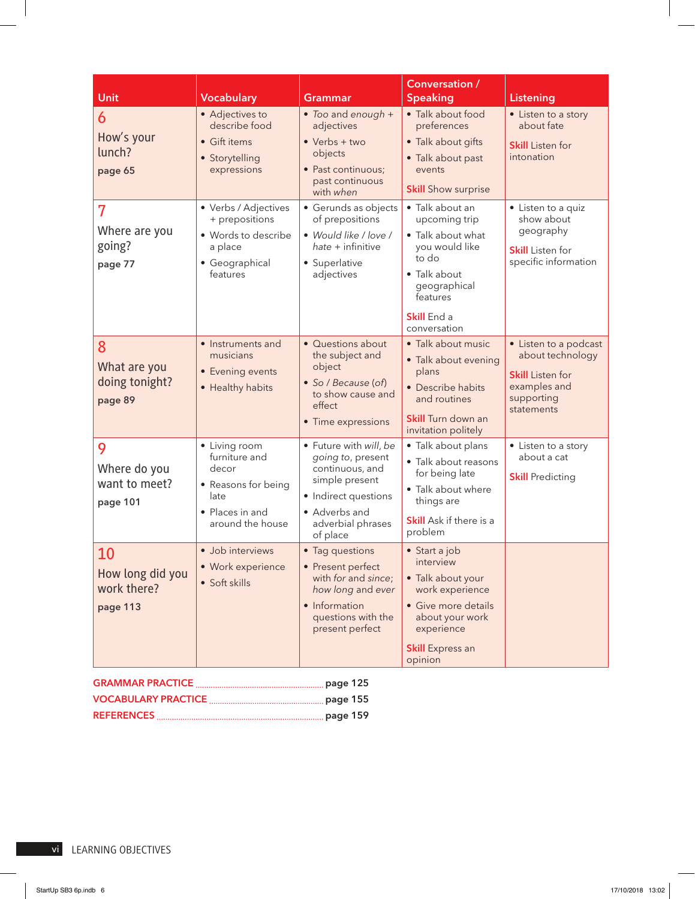| Unit                                              | <b>Vocabulary</b>                                                                                             | Grammar                                                                                                                                                    | Conversation /<br><b>Speaking</b>                                                                                                                                 | <b>Listening</b>                                                                                                 |
|---------------------------------------------------|---------------------------------------------------------------------------------------------------------------|------------------------------------------------------------------------------------------------------------------------------------------------------------|-------------------------------------------------------------------------------------------------------------------------------------------------------------------|------------------------------------------------------------------------------------------------------------------|
| 6<br>How's your<br>lunch?<br>page 65              | • Adjectives to<br>describe food<br>• Gift items<br>· Storytelling<br>expressions                             | • Too and enough +<br>adjectives<br>$\bullet$ Verbs + two<br>objects<br>• Past continuous;<br>past continuous<br>with when                                 | • Talk about food<br>preferences<br>• Talk about gifts<br>• Talk about past<br>events<br><b>Skill</b> Show surprise                                               | • Listen to a story<br>about fate<br><b>Skill</b> Listen for<br>intonation                                       |
| 7<br>Where are you<br>going?<br>page 77           | • Verbs / Adjectives<br>+ prepositions<br>• Words to describe<br>a place<br>• Geographical<br>features        | • Gerunds as objects<br>of prepositions<br>• Would like / love /<br>$h$ ate + infinitive<br>• Superlative<br>adjectives                                    | $\cdot$ Talk about an<br>upcoming trip<br>• Talk about what<br>you would like<br>to do<br>• Talk about<br>geographical<br>features<br>Skill End a<br>conversation | • Listen to a quiz<br>show about<br>geography<br><b>Skill</b> Listen for<br>specific information                 |
| 8<br>What are you<br>doing tonight?<br>page 89    | · Instruments and<br>musicians<br>• Evening events<br>• Healthy habits                                        | · Questions about<br>the subject and<br>object<br>· So / Because (of)<br>to show cause and<br>effect<br>• Time expressions                                 | · Talk about music<br>• Talk about evening<br>plans<br>• Describe habits<br>and routines<br><b>Skill</b> Turn down an<br>invitation politely                      | • Listen to a podcast<br>about technology<br><b>Skill</b> Listen for<br>examples and<br>supporting<br>statements |
| 9<br>Where do you<br>want to meet?<br>page 101    | • Living room<br>furniture and<br>decor<br>• Reasons for being<br>late<br>• Places in and<br>around the house | · Future with will, be<br>going to, present<br>continuous, and<br>simple present<br>• Indirect questions<br>• Adverbs and<br>adverbial phrases<br>of place | · Talk about plans<br>· Talk about reasons<br>for being late<br>• Talk about where<br>things are<br>Skill Ask if there is a<br>problem                            | • Listen to a story<br>about a cat<br><b>Skill Predicting</b>                                                    |
| 10<br>How long did you<br>work there?<br>page 113 | · Job interviews<br>· Work experience<br>· Soft skills                                                        | • Tag questions<br>• Present perfect<br>with for and since;<br>how long and ever<br>• Information<br>questions with the<br>present perfect                 | • Start a job<br>interview<br>• Talk about your<br>work experience<br>• Give more details<br>about your work<br>experience<br><b>Skill</b> Express an<br>opinion  |                                                                                                                  |

| <u>UNIVERSITY LIGHT MARTINE COMMUNISTION CONTINUES.</u> |  |
|---------------------------------------------------------|--|
|                                                         |  |
|                                                         |  |